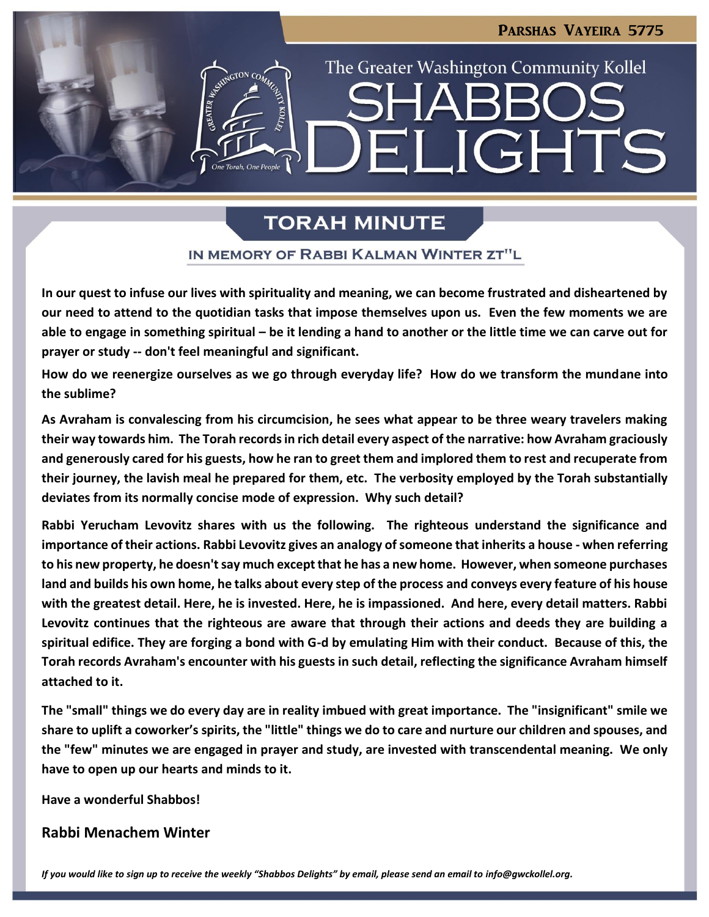LIGHTS

The Greater Washington Community Kollel

# **TORAH MINUTE**

 $\blacksquare$ 

### IN MEMORY OF RABBI KALMAN WINTER ZT"L

**In our quest to infuse our lives with spirituality and meaning, we can become frustrated and disheartened by our need to attend to the quotidian tasks that impose themselves upon us. Even the few moments we are able to engage in something spiritual – be it lending a hand to another or the little time we can carve out for prayer or study -- don't feel meaningful and significant.**

**How do we reenergize ourselves as we go through everyday life? How do we transform the mundane into the sublime?**

**As Avraham is convalescing from his circumcision, he sees what appear to be three weary travelers making their way towards him. The Torah records in rich detail every aspect of the narrative: how Avraham graciously and generously cared for his guests, how he ran to greet them and implored them to rest and recuperate from their journey, the lavish meal he prepared for them, etc. The verbosity employed by the Torah substantially deviates from its normally concise mode of expression. Why such detail?**

**Rabbi Yerucham Levovitz shares with us the following. The righteous understand the significance and importance of their actions. Rabbi Levovitz gives an analogy of someone that inherits a house - when referring to his new property, he doesn't say much except that he has a new home. However, when someone purchases land and builds his own home, he talks about every step of the process and conveys every feature of his house with the greatest detail. Here, he is invested. Here, he is impassioned. And here, every detail matters. Rabbi Levovitz continues that the righteous are aware that through their actions and deeds they are building a spiritual edifice. They are forging a bond with G-d by emulating Him with their conduct. Because of this, the Torah records Avraham's encounter with his guests in such detail, reflecting the significance Avraham himself attached to it.**

**The "small" things we do every day are in reality imbued with great importance. The "insignificant" smile we share to uplift a coworker's spirits, the "little" things we do to care and nurture our children and spouses, and the "few" minutes we are engaged in prayer and study, are invested with transcendental meaning. We only have to open up our hearts and minds to it.**

**Have a wonderful Shabbos!**

### **Rabbi Menachem Winter**

If you would like to sign up to receive the weekly "Shabbos Delights" by email, please send an email to *[info@gwckollel.org.](mailto:info@gwckollel.org)*